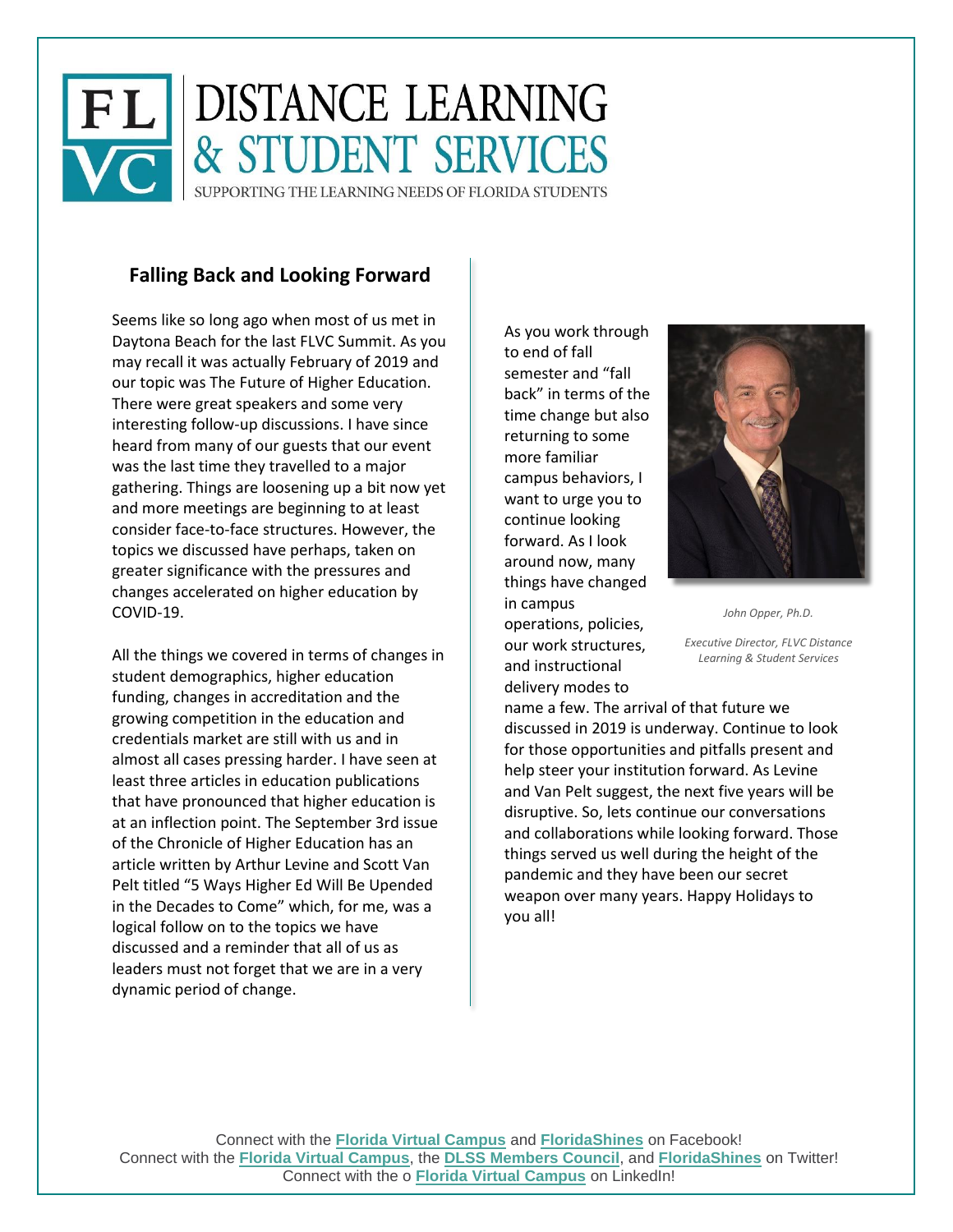

## **Falling Back and Looking Forward**

Seems like so long ago when most of us met in Daytona Beach for the last FLVC Summit. As you may recall it was actually February of 2019 and our topic was The Future of Higher Education. There were great speakers and some very interesting follow-up discussions. I have since heard from many of our guests that our event was the last time they travelled to a major gathering. Things are loosening up a bit now yet and more meetings are beginning to at least consider face-to-face structures. However, the topics we discussed have perhaps, taken on greater significance with the pressures and changes accelerated on higher education by COVID-19.

All the things we covered in terms of changes in student demographics, higher education funding, changes in accreditation and the growing competition in the education and credentials market are still with us and in almost all cases pressing harder. I have seen at least three articles in education publications that have pronounced that higher education is at an inflection point. The September 3rd issue of the Chronicle of Higher Education has an article written by Arthur Levine and Scott Van Pelt titled "5 Ways Higher Ed Will Be Upended in the Decades to Come" which, for me, was a logical follow on to the topics we have discussed and a reminder that all of us as leaders must not forget that we are in a very dynamic period of change.

As you work through to end of fall semester and "fall back" in terms of the time change but also returning to some more familiar campus behaviors, I want to urge you to continue looking forward. As I look around now, many things have changed in campus

operations, policies, our work structures, and instructional delivery modes to



*John Opper, Ph.D.*

*Executive Director, FLVC Distance Learning & Student Services*

name a few. The arrival of that future we discussed in 2019 is underway. Continue to look for those opportunities and pitfalls present and help steer your institution forward. As Levine and Van Pelt suggest, the next five years will be disruptive. So, lets continue our conversations and collaborations while looking forward. Those things served us well during the height of the pandemic and they have been our secret weapon over many years. Happy Holidays to you all!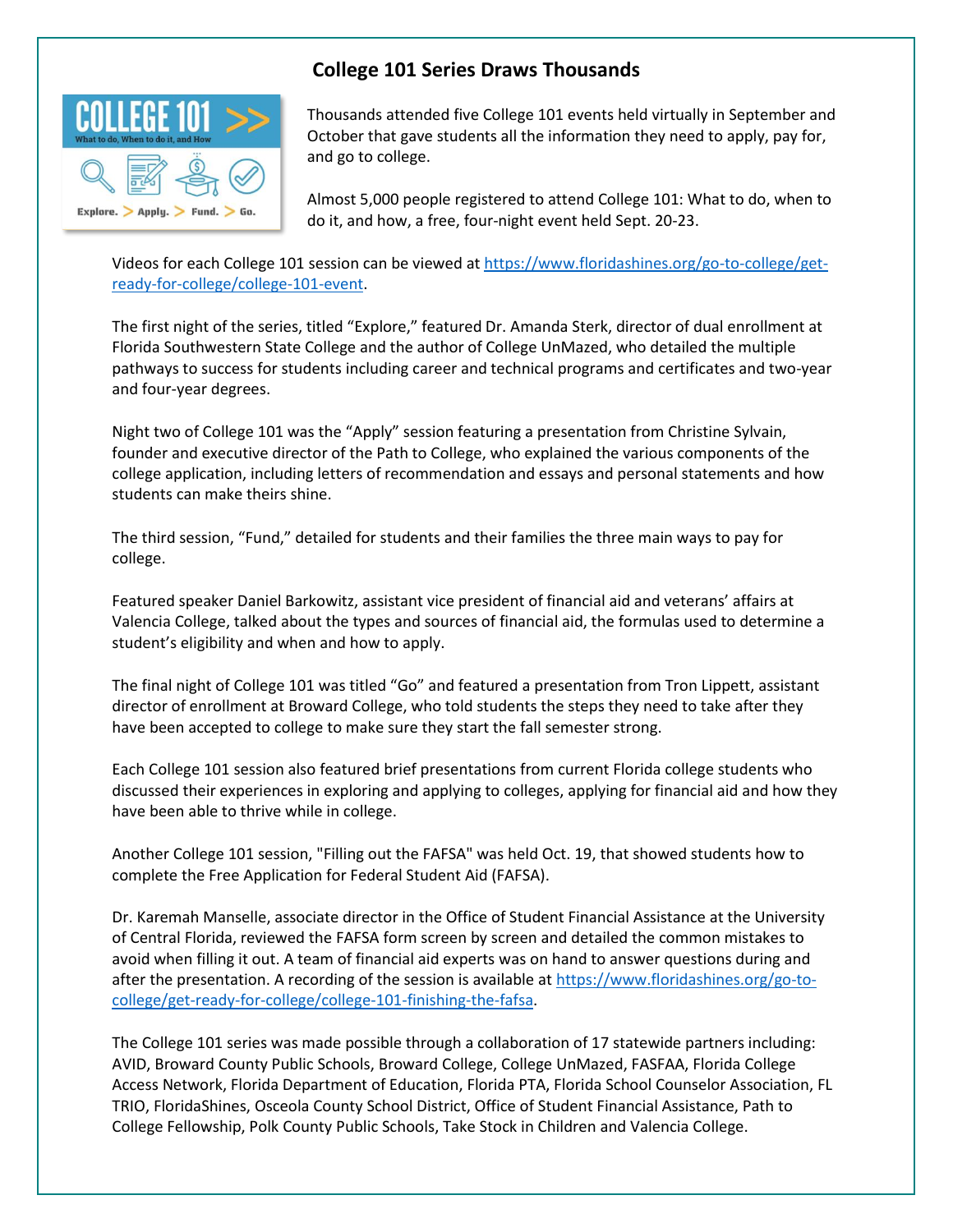

## **College 101 Series Draws Thousands**

Thousands attended five College 101 events held virtually in September and October that gave students all the information they need to apply, pay for, and go to college.

Almost 5,000 people registered to attend College 101: What to do, when to do it, and how, a free, four-night event held Sept. 20-23.

Videos for each College 101 session can be viewed at [https://www.floridashines.org/go-to-college/get](https://www.floridashines.org/go-to-college/get-ready-for-college/college-101-event)[ready-for-college/college-101-event.](https://www.floridashines.org/go-to-college/get-ready-for-college/college-101-event)

The first night of the series, titled "Explore," featured Dr. Amanda Sterk, director of dual enrollment at Florida Southwestern State College and the author of College UnMazed, who detailed the multiple pathways to success for students including career and technical programs and certificates and two-year and four-year degrees.

Night two of College 101 was the "Apply" session featuring a presentation from Christine Sylvain, founder and executive director of the Path to College, who explained the various components of the college application, including letters of recommendation and essays and personal statements and how students can make theirs shine.

The third session, "Fund," detailed for students and their families the three main ways to pay for college.

Featured speaker Daniel Barkowitz, assistant vice president of financial aid and veterans' affairs at Valencia College, talked about the types and sources of financial aid, the formulas used to determine a student's eligibility and when and how to apply.

The final night of College 101 was titled "Go" and featured a presentation from Tron Lippett, assistant director of enrollment at Broward College, who told students the steps they need to take after they have been accepted to college to make sure they start the fall semester strong.

Each College 101 session also featured brief presentations from current Florida college students who discussed their experiences in exploring and applying to colleges, applying for financial aid and how they have been able to thrive while in college.

Another College 101 session, "Filling out the FAFSA" was held Oct. 19, that showed students how to complete the Free Application for Federal Student Aid (FAFSA).

Dr. Karemah Manselle, associate director in the Office of Student Financial Assistance at the University of Central Florida, reviewed the FAFSA form screen by screen and detailed the common mistakes to avoid when filling it out. A team of financial aid experts was on hand to answer questions during and after the presentation. A recording of the session is available at [https://www.floridashines.org/go-to](https://www.floridashines.org/go-to-college/get-ready-for-college/college-101-finishing-the-fafsa)[college/get-ready-for-college/college-101-finishing-the-fafsa.](https://www.floridashines.org/go-to-college/get-ready-for-college/college-101-finishing-the-fafsa)

The College 101 series was made possible through a collaboration of 17 statewide partners including: AVID, Broward County Public Schools, Broward College, College UnMazed, FASFAA, Florida College Access Network, Florida Department of Education, Florida PTA, Florida School Counselor Association, FL TRIO, FloridaShines, Osceola County School District, Office of Student Financial Assistance, Path to College Fellowship, Polk County Public Schools, Take Stock in Children and Valencia College.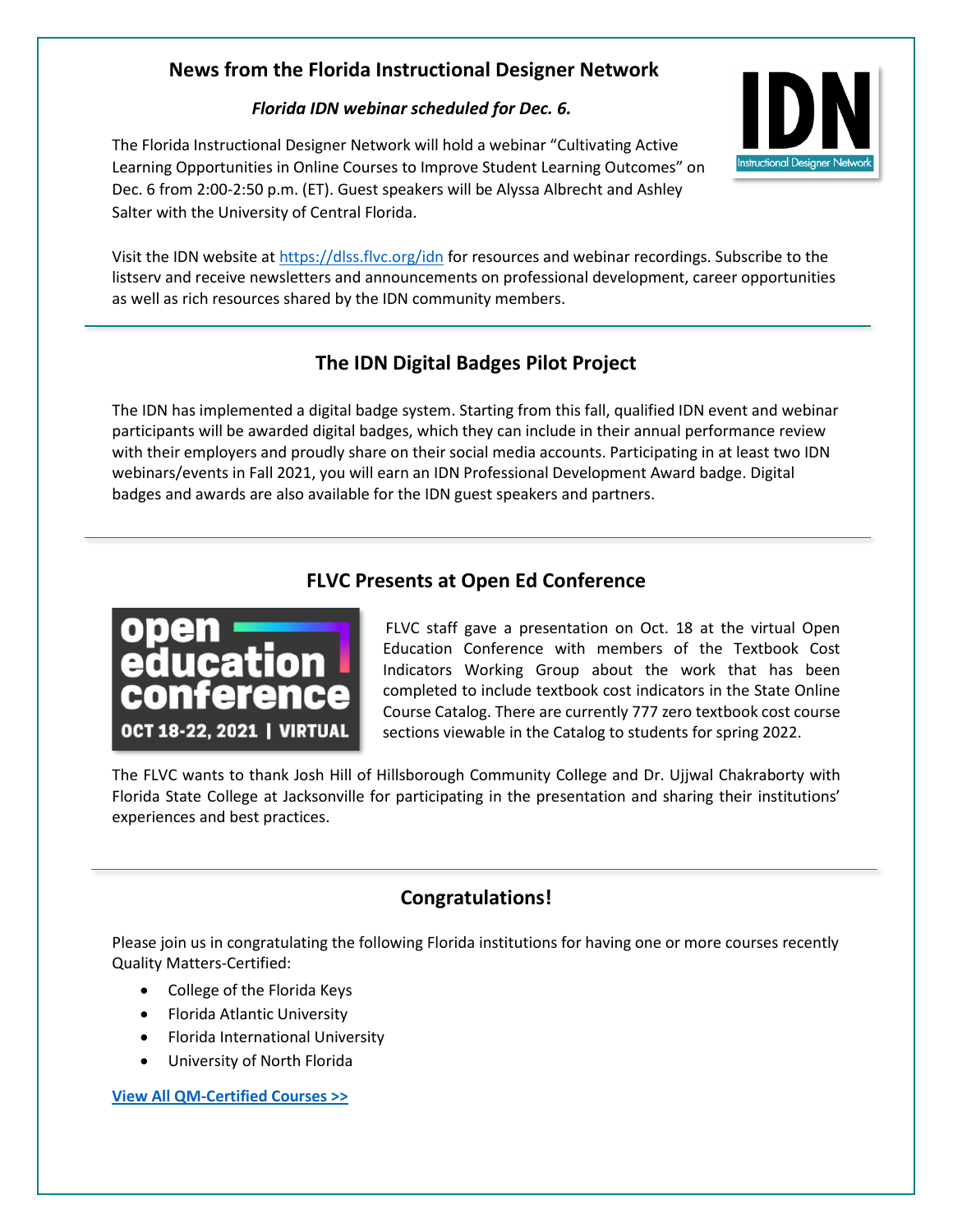# **News from the Florida Instructional Designer Network**

#### *Florida IDN webinar scheduled for Dec. 6.*

The Florida Instructional Designer Network will hold a webinar "Cultivating Active Learning Opportunities in Online Courses to Improve Student Learning Outcomes" on Dec. 6 from 2:00-2:50 p.m. (ET). Guest speakers will be Alyssa Albrecht and Ashley Salter with the University of Central Florida.



Visit the IDN website a[t https://dlss.flvc.org/idn](https://dlss.flvc.org/idn) for resources and webinar recordings. Subscribe to the listserv and receive newsletters and announcements on professional development, career opportunities as well as rich resources shared by the IDN community members.

# **The IDN Digital Badges Pilot Project**

The IDN has implemented a digital badge system. Starting from this fall, qualified IDN event and webinar participants will be awarded digital badges, which they can include in their annual performance review with their employers and proudly share on their social media accounts. Participating in at least two IDN webinars/events in Fall 2021, you will earn an IDN Professional Development Award badge. Digital badges and awards are also available for the IDN guest speakers and partners.

## **FLVC Presents at Open Ed Conference**



FLVC staff gave a presentation on Oct. 18 at the virtual Open Education Conference with members of the Textbook Cost Indicators Working Group about the work that has been completed to include textbook cost indicators in the State Online Course Catalog. There are currently 777 zero textbook cost course sections viewable in the Catalog to students for spring 2022.

The FLVC wants to thank Josh Hill of Hillsborough Community College and Dr. Ujjwal Chakraborty with Florida State College at Jacksonville for participating in the presentation and sharing their institutions' experiences and best practices.

# **Congratulations!**

Please join us in congratulating the following Florida institutions for having one or more courses recently Quality Matters-Certified:

- College of the Florida Keys
- Florida Atlantic University
- Florida International University
- University of North Florida

**[View All QM-Certified Courses >>](https://www.qualitymatters.org/reviews-certifications/qm-certified-courses?utm_source=a.+Quality+Matters+Digital+Communications&utm_campaign=a1eb091b04-EMAIL_HE_oct_2021_newsletter&utm_medium=email&utm_term=0_355a0627da-a1eb091b04-34158737&goal=0_355a0627da-a1eb091b04-34158737)**